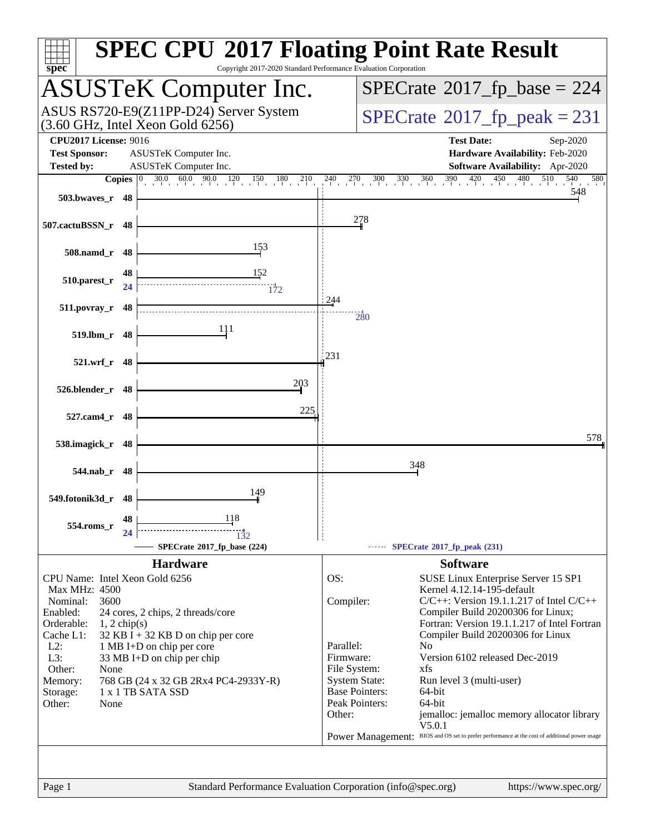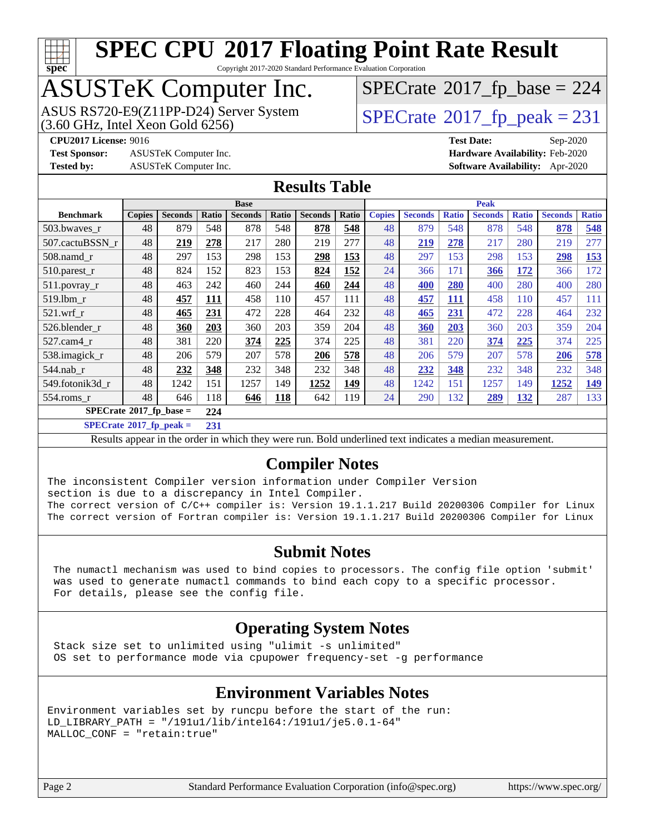

Copyright 2017-2020 Standard Performance Evaluation Corporation

# ASUSTeK Computer Inc.

ASUS RS720-E9(Z11PP-D24) Server System  $(3.60 \text{ GHz}, \text{ Intel Xeon Gold } 6256)$   $\big| \text{ SPECrate} @ 2017\_fp\_peak = 231$  $\big| \text{ SPECrate} @ 2017\_fp\_peak = 231$  $\big| \text{ SPECrate} @ 2017\_fp\_peak = 231$ 

 $SPECTate$ <sup>®</sup>[2017\\_fp\\_base =](http://www.spec.org/auto/cpu2017/Docs/result-fields.html#SPECrate2017fpbase) 224

**[Test Sponsor:](http://www.spec.org/auto/cpu2017/Docs/result-fields.html#TestSponsor)** ASUSTeK Computer Inc. **[Hardware Availability:](http://www.spec.org/auto/cpu2017/Docs/result-fields.html#HardwareAvailability)** Feb-2020

**[CPU2017 License:](http://www.spec.org/auto/cpu2017/Docs/result-fields.html#CPU2017License)** 9016 **[Test Date:](http://www.spec.org/auto/cpu2017/Docs/result-fields.html#TestDate)** Sep-2020 **[Tested by:](http://www.spec.org/auto/cpu2017/Docs/result-fields.html#Testedby)** ASUSTeK Computer Inc. **[Software Availability:](http://www.spec.org/auto/cpu2017/Docs/result-fields.html#SoftwareAvailability)** Apr-2020

### **[Results Table](http://www.spec.org/auto/cpu2017/Docs/result-fields.html#ResultsTable)**

|                  | <b>Base</b>                                   |                |       |                |            |                |       | <b>Peak</b>   |                |              |                |              |                |              |
|------------------|-----------------------------------------------|----------------|-------|----------------|------------|----------------|-------|---------------|----------------|--------------|----------------|--------------|----------------|--------------|
| <b>Benchmark</b> | <b>Copies</b>                                 | <b>Seconds</b> | Ratio | <b>Seconds</b> | Ratio      | <b>Seconds</b> | Ratio | <b>Copies</b> | <b>Seconds</b> | <b>Ratio</b> | <b>Seconds</b> | <b>Ratio</b> | <b>Seconds</b> | <b>Ratio</b> |
| 503.bwayes r     | 48                                            | 879            | 548   | 878            | 548        | 878            | 548   | 48            | 879            | 548          | 878            | 548          | 878            | 548          |
| 507.cactuBSSN r  | 48                                            | 219            | 278   | 217            | 280        | 219            | 277   | 48            | 219            | 278          | 217            | 280          | 219            | 277          |
| $508$ .namd $r$  | 48                                            | 297            | 153   | 298            | 153        | 298            | 153   | 48            | 297            | 153          | 298            | 153          | 298            | <b>153</b>   |
| 510.parest_r     | 48                                            | 824            | 152   | 823            | 153        | 824            | 152   | 24            | 366            | 171          | 366            | 172          | 366            | 172          |
| 511.povray_r     | 48                                            | 463            | 242   | 460            | 244        | 460            | 244   | 48            | 400            | 280          | 400            | 280          | 400            | 280          |
| 519.1bm r        | 48                                            | 457            | 111   | 458            | 110        | 457            | 111   | 48            | 457            | 111          | 458            | 110          | 457            | 111          |
| $521$ .wrf r     | 48                                            | 465            | 231   | 472            | 228        | 464            | 232   | 48            | 465            | 231          | 472            | 228          | 464            | 232          |
| 526.blender r    | 48                                            | 360            | 203   | 360            | 203        | 359            | 204   | 48            | 360            | 203          | 360            | 203          | 359            | 204          |
| 527.cam4 r       | 48                                            | 381            | 220   | 374            | 225        | 374            | 225   | 48            | 381            | 220          | 374            | 225          | 374            | 225          |
| 538.imagick_r    | 48                                            | 206            | 579   | 207            | 578        | 206            | 578   | 48            | 206            | 579          | 207            | 578          | 206            | 578          |
| $544$ .nab r     | 48                                            | 232            | 348   | 232            | 348        | 232            | 348   | 48            | 232            | 348          | 232            | 348          | 232            | 348          |
| 549.fotonik3d_r  | 48                                            | 1242           | 151   | 1257           | 149        | 1252           | 149   | 48            | 1242           | 151          | 1257           | 149          | 1252           | <u>149</u>   |
| 554.roms r       | 48                                            | 646            | 118   | 646            | <b>118</b> | 642            | 119   | 24            | 290            | 132          | 289            | <u>132</u>   | 287            | 133          |
|                  | $SPECrate$ <sup>®</sup> 2017_fp_base =<br>224 |                |       |                |            |                |       |               |                |              |                |              |                |              |

**[SPECrate](http://www.spec.org/auto/cpu2017/Docs/result-fields.html#SPECrate2017fppeak)[2017\\_fp\\_peak =](http://www.spec.org/auto/cpu2017/Docs/result-fields.html#SPECrate2017fppeak) 231**

Results appear in the [order in which they were run](http://www.spec.org/auto/cpu2017/Docs/result-fields.html#RunOrder). Bold underlined text [indicates a median measurement](http://www.spec.org/auto/cpu2017/Docs/result-fields.html#Median).

### **[Compiler Notes](http://www.spec.org/auto/cpu2017/Docs/result-fields.html#CompilerNotes)**

The inconsistent Compiler version information under Compiler Version section is due to a discrepancy in Intel Compiler. The correct version of C/C++ compiler is: Version 19.1.1.217 Build 20200306 Compiler for Linux The correct version of Fortran compiler is: Version 19.1.1.217 Build 20200306 Compiler for Linux

### **[Submit Notes](http://www.spec.org/auto/cpu2017/Docs/result-fields.html#SubmitNotes)**

 The numactl mechanism was used to bind copies to processors. The config file option 'submit' was used to generate numactl commands to bind each copy to a specific processor. For details, please see the config file.

### **[Operating System Notes](http://www.spec.org/auto/cpu2017/Docs/result-fields.html#OperatingSystemNotes)**

 Stack size set to unlimited using "ulimit -s unlimited" OS set to performance mode via cpupower frequency-set -g performance

### **[Environment Variables Notes](http://www.spec.org/auto/cpu2017/Docs/result-fields.html#EnvironmentVariablesNotes)**

```
Environment variables set by runcpu before the start of the run:
LD_LIBRARY_PATH = "/191u1/lib/intel64:/191u1/je5.0.1-64"
MALLOC_CONF = "retain:true"
```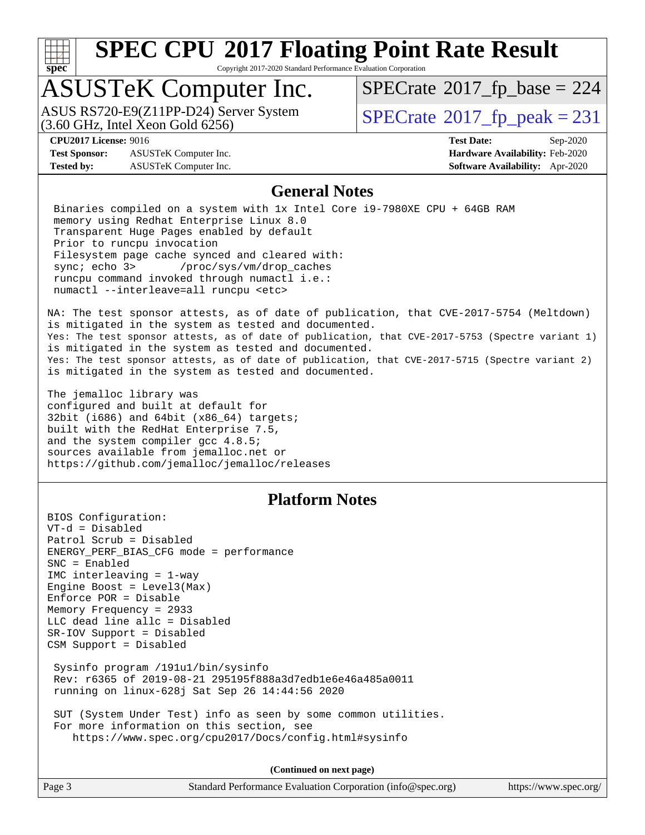

Copyright 2017-2020 Standard Performance Evaluation Corporation

## ASUSTeK Computer Inc.

 $(3.60$  GHz, Intel Xeon Gold  $6256$ ) ASUS RS720-E9(Z11PP-D24) Server System  $\sqrt{\text{SPECrate}^{\otimes}2017\_fp\_peak} = 231$  $\sqrt{\text{SPECrate}^{\otimes}2017\_fp\_peak} = 231$  $\sqrt{\text{SPECrate}^{\otimes}2017\_fp\_peak} = 231$ 

 $SPECTate$ <sup>®</sup>[2017\\_fp\\_base =](http://www.spec.org/auto/cpu2017/Docs/result-fields.html#SPECrate2017fpbase) 224

**[Test Sponsor:](http://www.spec.org/auto/cpu2017/Docs/result-fields.html#TestSponsor)** ASUSTeK Computer Inc. **[Hardware Availability:](http://www.spec.org/auto/cpu2017/Docs/result-fields.html#HardwareAvailability)** Feb-2020 **[Tested by:](http://www.spec.org/auto/cpu2017/Docs/result-fields.html#Testedby)** ASUSTeK Computer Inc. **[Software Availability:](http://www.spec.org/auto/cpu2017/Docs/result-fields.html#SoftwareAvailability)** Apr-2020

**[CPU2017 License:](http://www.spec.org/auto/cpu2017/Docs/result-fields.html#CPU2017License)** 9016 **[Test Date:](http://www.spec.org/auto/cpu2017/Docs/result-fields.html#TestDate)** Sep-2020

### **[General Notes](http://www.spec.org/auto/cpu2017/Docs/result-fields.html#GeneralNotes)**

 Binaries compiled on a system with 1x Intel Core i9-7980XE CPU + 64GB RAM memory using Redhat Enterprise Linux 8.0 Transparent Huge Pages enabled by default Prior to runcpu invocation Filesystem page cache synced and cleared with: sync; echo 3> /proc/sys/vm/drop\_caches runcpu command invoked through numactl i.e.: numactl --interleave=all runcpu <etc>

NA: The test sponsor attests, as of date of publication, that CVE-2017-5754 (Meltdown) is mitigated in the system as tested and documented. Yes: The test sponsor attests, as of date of publication, that CVE-2017-5753 (Spectre variant 1) is mitigated in the system as tested and documented. Yes: The test sponsor attests, as of date of publication, that CVE-2017-5715 (Spectre variant 2) is mitigated in the system as tested and documented.

The jemalloc library was configured and built at default for 32bit (i686) and 64bit (x86\_64) targets; built with the RedHat Enterprise 7.5, and the system compiler gcc 4.8.5; sources available from jemalloc.net or <https://github.com/jemalloc/jemalloc/releases>

### **[Platform Notes](http://www.spec.org/auto/cpu2017/Docs/result-fields.html#PlatformNotes)**

BIOS Configuration: VT-d = Disabled Patrol Scrub = Disabled ENERGY\_PERF\_BIAS\_CFG mode = performance SNC = Enabled IMC interleaving = 1-way Engine Boost = Level3(Max) Enforce POR = Disable Memory Frequency = 2933 LLC dead line allc = Disabled SR-IOV Support = Disabled CSM Support = Disabled Sysinfo program /191u1/bin/sysinfo Rev: r6365 of 2019-08-21 295195f888a3d7edb1e6e46a485a0011 running on linux-628j Sat Sep 26 14:44:56 2020 SUT (System Under Test) info as seen by some common utilities. For more information on this section, see

<https://www.spec.org/cpu2017/Docs/config.html#sysinfo>

**(Continued on next page)**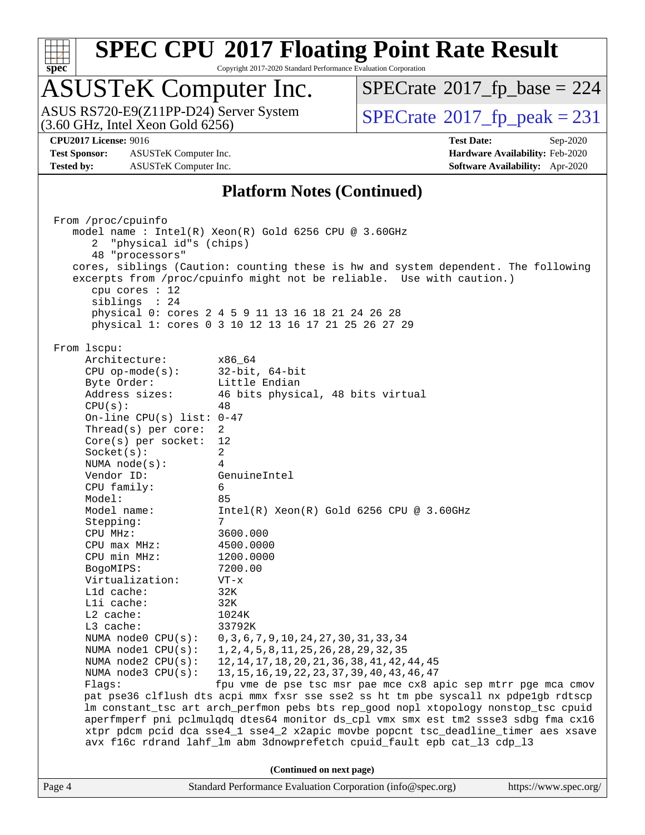

Copyright 2017-2020 Standard Performance Evaluation Corporation

## ASUSTeK Computer Inc.

 $(3.60$  GHz, Intel Xeon Gold  $6256$ ) ASUS RS720-E9(Z11PP-D24) Server System  $\sqrt{\text{SPECrate}^{\otimes}2017\_fp\_peak} = 231$  $\sqrt{\text{SPECrate}^{\otimes}2017\_fp\_peak} = 231$  $\sqrt{\text{SPECrate}^{\otimes}2017\_fp\_peak} = 231$ 

 $SPECTate$ <sup>®</sup>[2017\\_fp\\_base =](http://www.spec.org/auto/cpu2017/Docs/result-fields.html#SPECrate2017fpbase) 224

**[Test Sponsor:](http://www.spec.org/auto/cpu2017/Docs/result-fields.html#TestSponsor)** ASUSTeK Computer Inc. **[Hardware Availability:](http://www.spec.org/auto/cpu2017/Docs/result-fields.html#HardwareAvailability)** Feb-2020 **[Tested by:](http://www.spec.org/auto/cpu2017/Docs/result-fields.html#Testedby)** ASUSTeK Computer Inc. **[Software Availability:](http://www.spec.org/auto/cpu2017/Docs/result-fields.html#SoftwareAvailability)** Apr-2020

**[CPU2017 License:](http://www.spec.org/auto/cpu2017/Docs/result-fields.html#CPU2017License)** 9016 **[Test Date:](http://www.spec.org/auto/cpu2017/Docs/result-fields.html#TestDate)** Sep-2020

### **[Platform Notes \(Continued\)](http://www.spec.org/auto/cpu2017/Docs/result-fields.html#PlatformNotes)**

Page 4 Standard Performance Evaluation Corporation [\(info@spec.org\)](mailto:info@spec.org) <https://www.spec.org/> From /proc/cpuinfo model name : Intel(R) Xeon(R) Gold 6256 CPU @ 3.60GHz 2 "physical id"s (chips) 48 "processors" cores, siblings (Caution: counting these is hw and system dependent. The following excerpts from /proc/cpuinfo might not be reliable. Use with caution.) cpu cores : 12 siblings : 24 physical 0: cores 2 4 5 9 11 13 16 18 21 24 26 28 physical 1: cores 0 3 10 12 13 16 17 21 25 26 27 29 From lscpu: Architecture: x86\_64 CPU op-mode(s): 32-bit, 64-bit Byte Order: Little Endian Address sizes: 46 bits physical, 48 bits virtual  $CPU(s):$  48 On-line CPU(s) list: 0-47 Thread(s) per core: 2 Core(s) per socket: 12 Socket(s): 2 NUMA node(s): 4 Vendor ID: GenuineIntel CPU family: 6 Model: 85 Model name: Intel(R) Xeon(R) Gold 6256 CPU @ 3.60GHz Stepping: CPU MHz: 3600.000 CPU max MHz: 4500.0000 CPU min MHz: 1200.0000 BogoMIPS: 7200.00 Virtualization: VT-x L1d cache: 32K L1i cache: 32K L2 cache: 1024K L3 cache: 33792K NUMA node0 CPU(s): 0,3,6,7,9,10,24,27,30,31,33,34 NUMA node1 CPU(s): 1,2,4,5,8,11,25,26,28,29,32,35<br>NUMA node2 CPU(s): 12,14,17,18,20,21,36,38,41,42, 12,14,17,18,20,21,36,38,41,42,44,45 NUMA node3 CPU(s): 13,15,16,19,22,23,37,39,40,43,46,47 Flags: fpu vme de pse tsc msr pae mce cx8 apic sep mtrr pge mca cmov pat pse36 clflush dts acpi mmx fxsr sse sse2 ss ht tm pbe syscall nx pdpe1gb rdtscp lm constant\_tsc art arch\_perfmon pebs bts rep\_good nopl xtopology nonstop\_tsc cpuid aperfmperf pni pclmulqdq dtes64 monitor ds\_cpl vmx smx est tm2 ssse3 sdbg fma cx16 xtpr pdcm pcid dca sse4\_1 sse4\_2 x2apic movbe popcnt tsc\_deadline\_timer aes xsave avx f16c rdrand lahf\_lm abm 3dnowprefetch cpuid\_fault epb cat\_l3 cdp\_l3 **(Continued on next page)**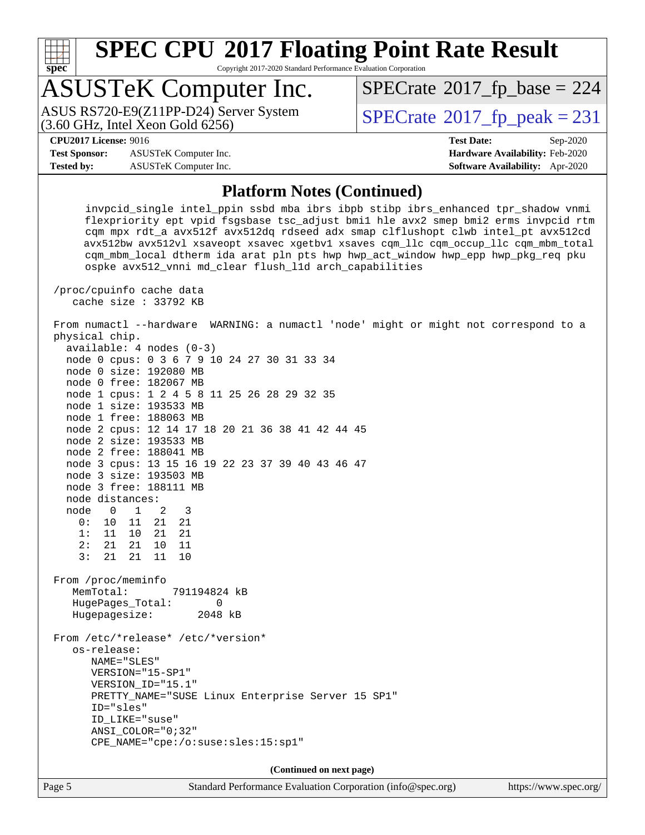

Copyright 2017-2020 Standard Performance Evaluation Corporation

## ASUSTeK Computer Inc.

 $(3.60$  GHz, Intel Xeon Gold  $6256$ ) ASUS RS720-E9(Z11PP-D24) Server System  $\sqrt{\text{SPECrate}^{\otimes}2017\_fp\_peak} = 231$  $\sqrt{\text{SPECrate}^{\otimes}2017\_fp\_peak} = 231$  $\sqrt{\text{SPECrate}^{\otimes}2017\_fp\_peak} = 231$ 

 $SPECTate$ <sup>®</sup>[2017\\_fp\\_base =](http://www.spec.org/auto/cpu2017/Docs/result-fields.html#SPECrate2017fpbase) 224

**[Test Sponsor:](http://www.spec.org/auto/cpu2017/Docs/result-fields.html#TestSponsor)** ASUSTeK Computer Inc. **[Hardware Availability:](http://www.spec.org/auto/cpu2017/Docs/result-fields.html#HardwareAvailability)** Feb-2020 **[Tested by:](http://www.spec.org/auto/cpu2017/Docs/result-fields.html#Testedby)** ASUSTeK Computer Inc. **[Software Availability:](http://www.spec.org/auto/cpu2017/Docs/result-fields.html#SoftwareAvailability)** Apr-2020

**[CPU2017 License:](http://www.spec.org/auto/cpu2017/Docs/result-fields.html#CPU2017License)** 9016 **[Test Date:](http://www.spec.org/auto/cpu2017/Docs/result-fields.html#TestDate)** Sep-2020

### **[Platform Notes \(Continued\)](http://www.spec.org/auto/cpu2017/Docs/result-fields.html#PlatformNotes)**

 invpcid\_single intel\_ppin ssbd mba ibrs ibpb stibp ibrs\_enhanced tpr\_shadow vnmi flexpriority ept vpid fsgsbase tsc\_adjust bmi1 hle avx2 smep bmi2 erms invpcid rtm cqm mpx rdt\_a avx512f avx512dq rdseed adx smap clflushopt clwb intel\_pt avx512cd avx512bw avx512vl xsaveopt xsavec xgetbv1 xsaves cqm\_llc cqm\_occup\_llc cqm\_mbm\_total cqm\_mbm\_local dtherm ida arat pln pts hwp hwp\_act\_window hwp\_epp hwp\_pkg\_req pku ospke avx512\_vnni md\_clear flush\_l1d arch\_capabilities

 /proc/cpuinfo cache data cache size : 33792 KB

 From numactl --hardware WARNING: a numactl 'node' might or might not correspond to a physical chip.

| $available: 4 nodes (0-3)$                        |
|---------------------------------------------------|
| node 0 cpus: 0 3 6 7 9 10 24 27 30 31 33 34       |
| node 0 size: 192080 MB                            |
| node 0 free: 182067 MB                            |
| node 1 cpus: 1 2 4 5 8 11 25 26 28 29 32 35       |
| node 1 size: 193533 MB                            |
| node 1 free: 188063 MB                            |
| node 2 cpus: 12 14 17 18 20 21 36 38 41 42 44 45  |
| node 2 size: 193533 MB                            |
| node 2 free: 188041 MB                            |
| node 3 cpus: 13 15 16 19 22 23 37 39 40 43 46 47  |
| node 3 size: 193503 MB                            |
| node 3 free: 188111 MB                            |
| node distances:                                   |
| node 0 1 2 3                                      |
| 0: 10 11 21 21                                    |
| 1: 11 10 21 21                                    |
| 2: 21 21 10 11                                    |
| 3: 21 21 11 10                                    |
| From /proc/meminfo                                |
| MemTotal: 791194824 kB                            |
| HugePages_Total:<br>$\Omega$                      |
| Hugepagesize: 2048 kB                             |
| From /etc/*release* /etc/*version*                |
| os-release:                                       |
| NAME="SLES"                                       |
| VERSION="15-SP1"                                  |
| VERSION_ID="15.1"                                 |
| PRETTY_NAME="SUSE Linux Enterprise Server 15 SP1" |
| ID="sles"                                         |
| ID_LIKE="suse"                                    |
| $ANSI\_COLOR = "0;32"$                            |
| $CPE\_NAME = "cpe://o:suse: sles:15:sp1"$         |
|                                                   |
|                                                   |

**(Continued on next page)**

Page 5 Standard Performance Evaluation Corporation [\(info@spec.org\)](mailto:info@spec.org) <https://www.spec.org/>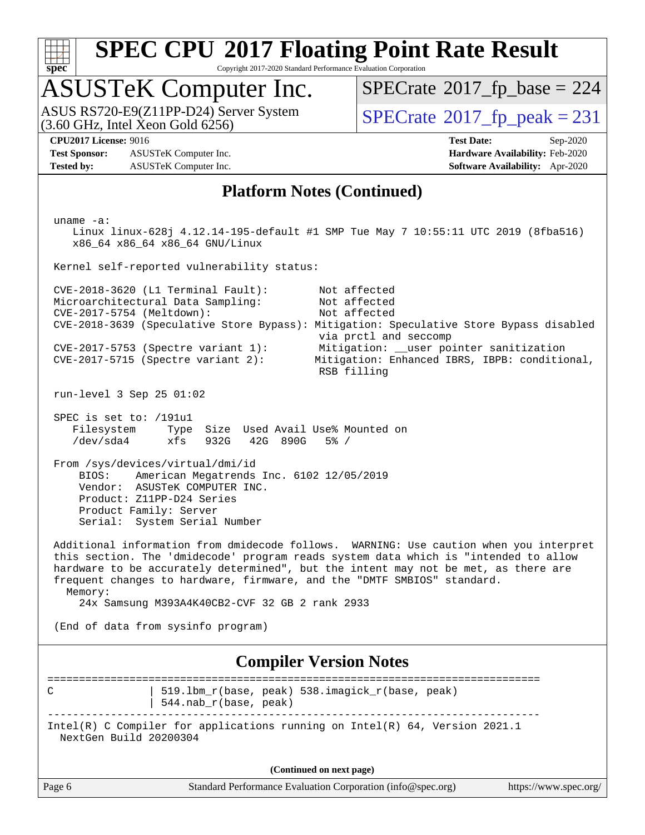

Copyright 2017-2020 Standard Performance Evaluation Corporation

## ASUSTeK Computer Inc.

 $(3.60$  GHz, Intel Xeon Gold  $6256$ ) ASUS RS720-E9(Z11PP-D24) Server System  $\sqrt{\text{SPECrate}^{\otimes}2017\_fp\_peak} = 231$  $\sqrt{\text{SPECrate}^{\otimes}2017\_fp\_peak} = 231$  $\sqrt{\text{SPECrate}^{\otimes}2017\_fp\_peak} = 231$ 

 $SPECTate$ <sup>®</sup>[2017\\_fp\\_base =](http://www.spec.org/auto/cpu2017/Docs/result-fields.html#SPECrate2017fpbase) 224

**[Test Sponsor:](http://www.spec.org/auto/cpu2017/Docs/result-fields.html#TestSponsor)** ASUSTeK Computer Inc. **[Hardware Availability:](http://www.spec.org/auto/cpu2017/Docs/result-fields.html#HardwareAvailability)** Feb-2020 **[Tested by:](http://www.spec.org/auto/cpu2017/Docs/result-fields.html#Testedby)** ASUSTeK Computer Inc. **[Software Availability:](http://www.spec.org/auto/cpu2017/Docs/result-fields.html#SoftwareAvailability)** Apr-2020

**[CPU2017 License:](http://www.spec.org/auto/cpu2017/Docs/result-fields.html#CPU2017License)** 9016 **[Test Date:](http://www.spec.org/auto/cpu2017/Docs/result-fields.html#TestDate)** Sep-2020

### **[Platform Notes \(Continued\)](http://www.spec.org/auto/cpu2017/Docs/result-fields.html#PlatformNotes)**

Page 6 Standard Performance Evaluation Corporation [\(info@spec.org\)](mailto:info@spec.org) <https://www.spec.org/> uname -a: Linux linux-628j 4.12.14-195-default #1 SMP Tue May 7 10:55:11 UTC 2019 (8fba516) x86\_64 x86\_64 x86\_64 GNU/Linux Kernel self-reported vulnerability status: CVE-2018-3620 (L1 Terminal Fault): Not affected Microarchitectural Data Sampling: Not affected CVE-2017-5754 (Meltdown): Not affected CVE-2018-3639 (Speculative Store Bypass): Mitigation: Speculative Store Bypass disabled via prctl and seccomp CVE-2017-5753 (Spectre variant 1): Mitigation: \_\_user pointer sanitization CVE-2017-5715 (Spectre variant 1).<br>CVE-2017-5715 (Spectre variant 2): Mitigation: Enhanced IBRS, IBPB: conditional, RSB filling run-level 3 Sep 25 01:02 SPEC is set to: /191u1 Filesystem Type Size Used Avail Use% Mounted on /dev/sda4 xfs 932G 42G 890G 5% / From /sys/devices/virtual/dmi/id BIOS: American Megatrends Inc. 6102 12/05/2019 Vendor: ASUSTeK COMPUTER INC. Product: Z11PP-D24 Series Product Family: Server Serial: System Serial Number Additional information from dmidecode follows. WARNING: Use caution when you interpret this section. The 'dmidecode' program reads system data which is "intended to allow hardware to be accurately determined", but the intent may not be met, as there are frequent changes to hardware, firmware, and the "DMTF SMBIOS" standard. Memory: 24x Samsung M393A4K40CB2-CVF 32 GB 2 rank 2933 (End of data from sysinfo program) **[Compiler Version Notes](http://www.spec.org/auto/cpu2017/Docs/result-fields.html#CompilerVersionNotes)** ============================================================================== C | 519.1bm\_r(base, peak) 538.imagick\_r(base, peak) | 544.nab\_r(base, peak) ------------------------------------------------------------------------------ Intel(R) C Compiler for applications running on Intel(R) 64, Version 2021.1 NextGen Build 20200304 **(Continued on next page)**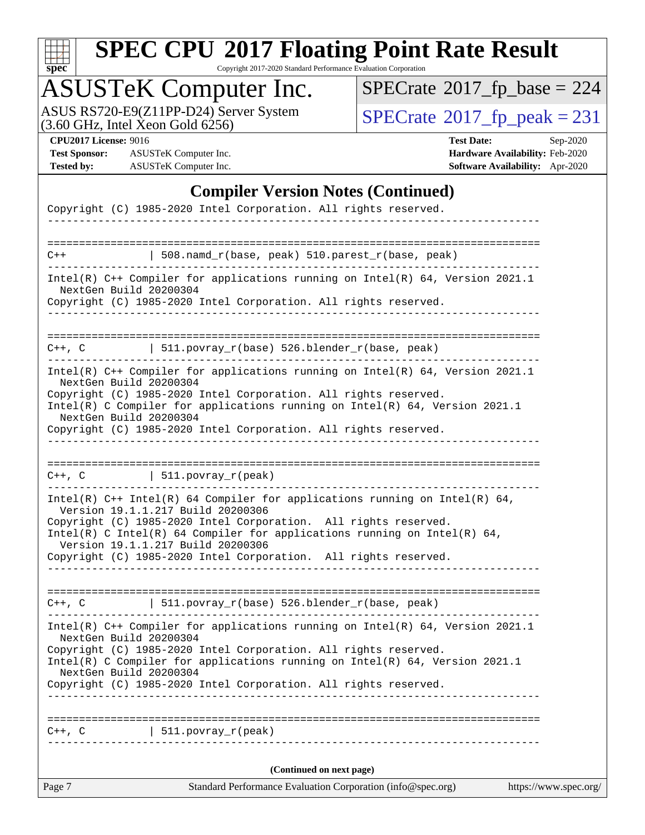

Copyright 2017-2020 Standard Performance Evaluation Corporation

## ASUSTeK Computer Inc.

ASUS RS720-E9(Z11PP-D24) Server System  $(3.60 \text{ GHz}, \text{ Intel Xeon Gold } 6256)$   $\big| \text{ SPECrate} @ 2017\_fp\_peak = 231$  $\big| \text{ SPECrate} @ 2017\_fp\_peak = 231$  $\big| \text{ SPECrate} @ 2017\_fp\_peak = 231$ 

 $SPECrate$ <sup>®</sup>[2017\\_fp\\_base =](http://www.spec.org/auto/cpu2017/Docs/result-fields.html#SPECrate2017fpbase) 224

**[Test Sponsor:](http://www.spec.org/auto/cpu2017/Docs/result-fields.html#TestSponsor)** ASUSTeK Computer Inc. **[Hardware Availability:](http://www.spec.org/auto/cpu2017/Docs/result-fields.html#HardwareAvailability)** Feb-2020 **[Tested by:](http://www.spec.org/auto/cpu2017/Docs/result-fields.html#Testedby)** ASUSTeK Computer Inc. **[Software Availability:](http://www.spec.org/auto/cpu2017/Docs/result-fields.html#SoftwareAvailability)** Apr-2020

**[CPU2017 License:](http://www.spec.org/auto/cpu2017/Docs/result-fields.html#CPU2017License)** 9016 **[Test Date:](http://www.spec.org/auto/cpu2017/Docs/result-fields.html#TestDate)** Sep-2020

### **[Compiler Version Notes \(Continued\)](http://www.spec.org/auto/cpu2017/Docs/result-fields.html#CompilerVersionNotes)**

| Page 7      | Standard Performance Evaluation Corporation (info@spec.org)                                                                                 | https://www.spec.org/ |
|-------------|---------------------------------------------------------------------------------------------------------------------------------------------|-----------------------|
|             | (Continued on next page)                                                                                                                    |                       |
| $C++$ , $C$ | $511. povray_r (peak)$                                                                                                                      |                       |
|             |                                                                                                                                             |                       |
|             | Copyright (C) 1985-2020 Intel Corporation. All rights reserved.                                                                             |                       |
|             | Intel(R) C Compiler for applications running on $Intel(R) 64$ , Version 2021.1<br>NextGen Build 20200304                                    |                       |
|             | NextGen Build 20200304<br>Copyright (C) 1985-2020 Intel Corporation. All rights reserved.                                                   |                       |
|             | Intel(R) $C++$ Compiler for applications running on Intel(R) 64, Version 2021.1                                                             |                       |
|             | $C++$ , C $\qquad$   511.povray_r(base) 526.blender_r(base, peak)                                                                           |                       |
|             |                                                                                                                                             |                       |
|             | Version 19.1.1.217 Build 20200306<br>Copyright (C) 1985-2020 Intel Corporation. All rights reserved.                                        |                       |
|             | Copyright (C) 1985-2020 Intel Corporation. All rights reserved.<br>Intel(R) C Intel(R) 64 Compiler for applications running on Intel(R) 64, |                       |
|             | Intel(R) $C++$ Intel(R) 64 Compiler for applications running on Intel(R) 64,<br>Version 19.1.1.217 Build 20200306                           |                       |
|             | $C++$ , C $\qquad \qquad \vert$ 511.povray_r(peak)<br>-------------------------------------                                                 |                       |
|             |                                                                                                                                             |                       |
|             | Copyright (C) 1985-2020 Intel Corporation. All rights reserved.                                                                             |                       |
|             | Intel(R) C Compiler for applications running on Intel(R) $64$ , Version 2021.1<br>NextGen Build 20200304                                    |                       |
|             | NextGen Build 20200304<br>Copyright (C) 1985-2020 Intel Corporation. All rights reserved.                                                   |                       |
|             | Intel(R) $C++$ Compiler for applications running on Intel(R) 64, Version 2021.1                                                             |                       |
|             | C++, C $  511.povray_r(base) 526.blender_r(base, peak)$                                                                                     |                       |
|             | NextGen Build 20200304<br>Copyright (C) 1985-2020 Intel Corporation. All rights reserved.                                                   |                       |
|             | Intel(R) $C++$ Compiler for applications running on Intel(R) 64, Version 2021.1                                                             |                       |
| $C++$       | $508.namd_r(base, peak) 510.parest_r(base, peak)$                                                                                           |                       |
|             |                                                                                                                                             |                       |
|             | Copyright (C) 1985-2020 Intel Corporation. All rights reserved.                                                                             |                       |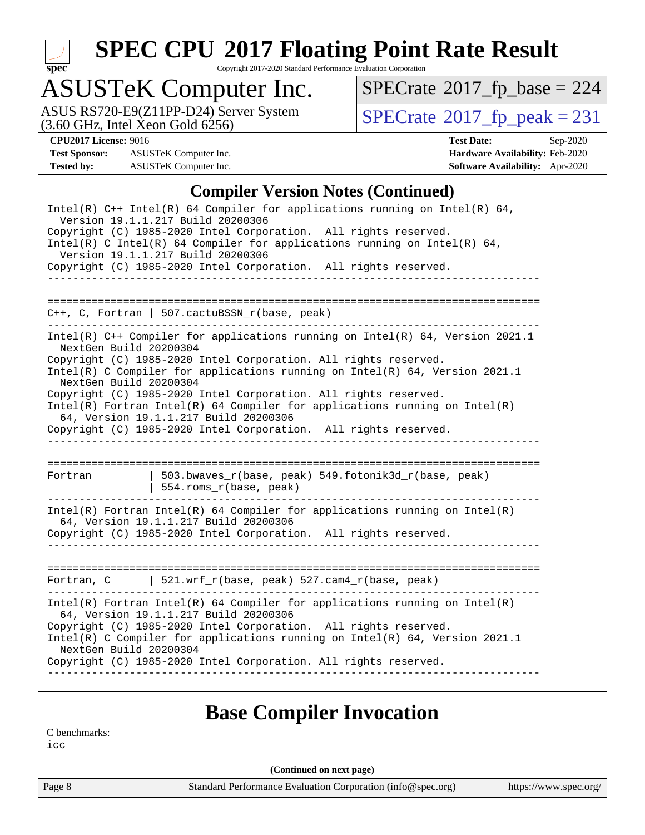

Copyright 2017-2020 Standard Performance Evaluation Corporation

## ASUSTeK Computer Inc.

ASUS RS720-E9(Z11PP-D24) Server System  $(3.60 \text{ GHz}, \text{ Intel Xeon Gold } 6256)$   $\big| \text{ SPECrate} @ 2017\_fp\_peak = 231$  $\big| \text{ SPECrate} @ 2017\_fp\_peak = 231$  $\big| \text{ SPECrate} @ 2017\_fp\_peak = 231$ 

 $SPECrate$ <sup>®</sup>[2017\\_fp\\_base =](http://www.spec.org/auto/cpu2017/Docs/result-fields.html#SPECrate2017fpbase) 224

**[Test Sponsor:](http://www.spec.org/auto/cpu2017/Docs/result-fields.html#TestSponsor)** ASUSTeK Computer Inc. **[Hardware Availability:](http://www.spec.org/auto/cpu2017/Docs/result-fields.html#HardwareAvailability)** Feb-2020 **[Tested by:](http://www.spec.org/auto/cpu2017/Docs/result-fields.html#Testedby)** ASUSTeK Computer Inc. **[Software Availability:](http://www.spec.org/auto/cpu2017/Docs/result-fields.html#SoftwareAvailability)** Apr-2020

**[CPU2017 License:](http://www.spec.org/auto/cpu2017/Docs/result-fields.html#CPU2017License)** 9016 **[Test Date:](http://www.spec.org/auto/cpu2017/Docs/result-fields.html#TestDate)** Sep-2020

### **[Compiler Version Notes \(Continued\)](http://www.spec.org/auto/cpu2017/Docs/result-fields.html#CompilerVersionNotes)**

|                                                  | Intel(R) $C++$ Intel(R) 64 Compiler for applications running on Intel(R) 64,<br>Version 19.1.1.217 Build 20200306<br>Copyright (C) 1985-2020 Intel Corporation. All rights reserved.<br>Intel(R) C Intel(R) 64 Compiler for applications running on Intel(R) 64,<br>Version 19.1.1.217 Build 20200306<br>Copyright (C) 1985-2020 Intel Corporation. All rights reserved.                                                                                                                          |
|--------------------------------------------------|---------------------------------------------------------------------------------------------------------------------------------------------------------------------------------------------------------------------------------------------------------------------------------------------------------------------------------------------------------------------------------------------------------------------------------------------------------------------------------------------------|
|                                                  |                                                                                                                                                                                                                                                                                                                                                                                                                                                                                                   |
| . <u>.</u>                                       | $C++$ , C, Fortran   507.cactuBSSN_r(base, peak)                                                                                                                                                                                                                                                                                                                                                                                                                                                  |
| NextGen Build 20200304<br>NextGen Build 20200304 | Intel(R) C++ Compiler for applications running on Intel(R) 64, Version 2021.1<br>Copyright (C) 1985-2020 Intel Corporation. All rights reserved.<br>Intel(R) C Compiler for applications running on Intel(R) $64$ , Version 2021.1<br>Copyright (C) 1985-2020 Intel Corporation. All rights reserved.<br>$Intel(R)$ Fortran Intel(R) 64 Compiler for applications running on Intel(R)<br>64, Version 19.1.1.217 Build 20200306<br>Copyright (C) 1985-2020 Intel Corporation. All rights reserved. |
|                                                  |                                                                                                                                                                                                                                                                                                                                                                                                                                                                                                   |
| Fortran                                          | 503.bwaves_r(base, peak) 549.fotonik3d_r(base, peak)<br>554.roms_r(base, peak)                                                                                                                                                                                                                                                                                                                                                                                                                    |
|                                                  | $Intel(R)$ Fortran Intel(R) 64 Compiler for applications running on Intel(R)<br>64, Version 19.1.1.217 Build 20200306<br>Copyright (C) 1985-2020 Intel Corporation. All rights reserved.                                                                                                                                                                                                                                                                                                          |
|                                                  | Fortran, C   521.wrf_r(base, peak) $527.cam4_r(base, peak)$                                                                                                                                                                                                                                                                                                                                                                                                                                       |
| NextGen Build 20200304                           | $Intel(R)$ Fortran Intel(R) 64 Compiler for applications running on Intel(R)<br>64, Version 19.1.1.217 Build 20200306<br>Copyright (C) 1985-2020 Intel Corporation. All rights reserved.<br>Intel(R) C Compiler for applications running on Intel(R) 64, Version 2021.1<br>Copyright (C) 1985-2020 Intel Corporation. All rights reserved.                                                                                                                                                        |

### **[Base Compiler Invocation](http://www.spec.org/auto/cpu2017/Docs/result-fields.html#BaseCompilerInvocation)**

[C benchmarks:](http://www.spec.org/auto/cpu2017/Docs/result-fields.html#Cbenchmarks)

[icc](http://www.spec.org/cpu2017/results/res2020q4/cpu2017-20201023-24246.flags.html#user_CCbase_intel_icc_66fc1ee009f7361af1fbd72ca7dcefbb700085f36577c54f309893dd4ec40d12360134090235512931783d35fd58c0460139e722d5067c5574d8eaf2b3e37e92)

**(Continued on next page)**

Page 8 Standard Performance Evaluation Corporation [\(info@spec.org\)](mailto:info@spec.org) <https://www.spec.org/>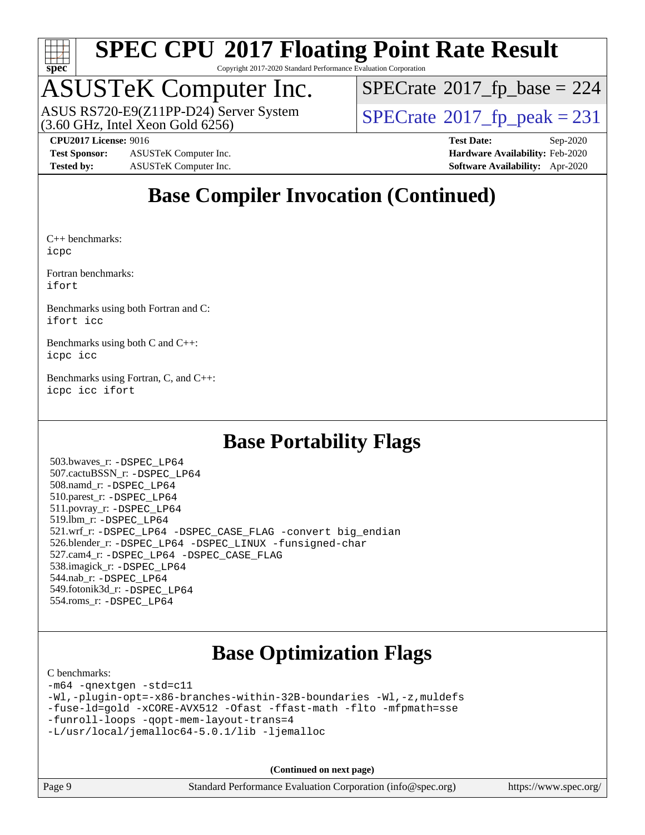

Copyright 2017-2020 Standard Performance Evaluation Corporation

## ASUSTeK Computer Inc.

 $(3.60$  GHz, Intel Xeon Gold  $6256$ ) ASUS RS720-E9(Z11PP-D24) Server System  $\sqrt{\text{SPECrate}^{\otimes}2017\_fp\_peak} = 231$  $\sqrt{\text{SPECrate}^{\otimes}2017\_fp\_peak} = 231$  $\sqrt{\text{SPECrate}^{\otimes}2017\_fp\_peak} = 231$ 

 $SPECrate$ <sup>®</sup>[2017\\_fp\\_base =](http://www.spec.org/auto/cpu2017/Docs/result-fields.html#SPECrate2017fpbase) 224

**[CPU2017 License:](http://www.spec.org/auto/cpu2017/Docs/result-fields.html#CPU2017License)** 9016 **[Test Date:](http://www.spec.org/auto/cpu2017/Docs/result-fields.html#TestDate)** Sep-2020

**[Test Sponsor:](http://www.spec.org/auto/cpu2017/Docs/result-fields.html#TestSponsor)** ASUSTeK Computer Inc. **[Hardware Availability:](http://www.spec.org/auto/cpu2017/Docs/result-fields.html#HardwareAvailability)** Feb-2020 **[Tested by:](http://www.spec.org/auto/cpu2017/Docs/result-fields.html#Testedby)** ASUSTeK Computer Inc. **[Software Availability:](http://www.spec.org/auto/cpu2017/Docs/result-fields.html#SoftwareAvailability)** Apr-2020

## **[Base Compiler Invocation \(Continued\)](http://www.spec.org/auto/cpu2017/Docs/result-fields.html#BaseCompilerInvocation)**

[C++ benchmarks](http://www.spec.org/auto/cpu2017/Docs/result-fields.html#CXXbenchmarks): [icpc](http://www.spec.org/cpu2017/results/res2020q4/cpu2017-20201023-24246.flags.html#user_CXXbase_intel_icpc_c510b6838c7f56d33e37e94d029a35b4a7bccf4766a728ee175e80a419847e808290a9b78be685c44ab727ea267ec2f070ec5dc83b407c0218cded6866a35d07)

[Fortran benchmarks](http://www.spec.org/auto/cpu2017/Docs/result-fields.html#Fortranbenchmarks): [ifort](http://www.spec.org/cpu2017/results/res2020q4/cpu2017-20201023-24246.flags.html#user_FCbase_intel_ifort_8111460550e3ca792625aed983ce982f94888b8b503583aa7ba2b8303487b4d8a21a13e7191a45c5fd58ff318f48f9492884d4413fa793fd88dd292cad7027ca)

[Benchmarks using both Fortran and C:](http://www.spec.org/auto/cpu2017/Docs/result-fields.html#BenchmarksusingbothFortranandC) [ifort](http://www.spec.org/cpu2017/results/res2020q4/cpu2017-20201023-24246.flags.html#user_CC_FCbase_intel_ifort_8111460550e3ca792625aed983ce982f94888b8b503583aa7ba2b8303487b4d8a21a13e7191a45c5fd58ff318f48f9492884d4413fa793fd88dd292cad7027ca) [icc](http://www.spec.org/cpu2017/results/res2020q4/cpu2017-20201023-24246.flags.html#user_CC_FCbase_intel_icc_66fc1ee009f7361af1fbd72ca7dcefbb700085f36577c54f309893dd4ec40d12360134090235512931783d35fd58c0460139e722d5067c5574d8eaf2b3e37e92)

[Benchmarks using both C and C++](http://www.spec.org/auto/cpu2017/Docs/result-fields.html#BenchmarksusingbothCandCXX): [icpc](http://www.spec.org/cpu2017/results/res2020q4/cpu2017-20201023-24246.flags.html#user_CC_CXXbase_intel_icpc_c510b6838c7f56d33e37e94d029a35b4a7bccf4766a728ee175e80a419847e808290a9b78be685c44ab727ea267ec2f070ec5dc83b407c0218cded6866a35d07) [icc](http://www.spec.org/cpu2017/results/res2020q4/cpu2017-20201023-24246.flags.html#user_CC_CXXbase_intel_icc_66fc1ee009f7361af1fbd72ca7dcefbb700085f36577c54f309893dd4ec40d12360134090235512931783d35fd58c0460139e722d5067c5574d8eaf2b3e37e92)

[Benchmarks using Fortran, C, and C++:](http://www.spec.org/auto/cpu2017/Docs/result-fields.html#BenchmarksusingFortranCandCXX) [icpc](http://www.spec.org/cpu2017/results/res2020q4/cpu2017-20201023-24246.flags.html#user_CC_CXX_FCbase_intel_icpc_c510b6838c7f56d33e37e94d029a35b4a7bccf4766a728ee175e80a419847e808290a9b78be685c44ab727ea267ec2f070ec5dc83b407c0218cded6866a35d07) [icc](http://www.spec.org/cpu2017/results/res2020q4/cpu2017-20201023-24246.flags.html#user_CC_CXX_FCbase_intel_icc_66fc1ee009f7361af1fbd72ca7dcefbb700085f36577c54f309893dd4ec40d12360134090235512931783d35fd58c0460139e722d5067c5574d8eaf2b3e37e92) [ifort](http://www.spec.org/cpu2017/results/res2020q4/cpu2017-20201023-24246.flags.html#user_CC_CXX_FCbase_intel_ifort_8111460550e3ca792625aed983ce982f94888b8b503583aa7ba2b8303487b4d8a21a13e7191a45c5fd58ff318f48f9492884d4413fa793fd88dd292cad7027ca)

## **[Base Portability Flags](http://www.spec.org/auto/cpu2017/Docs/result-fields.html#BasePortabilityFlags)**

 503.bwaves\_r: [-DSPEC\\_LP64](http://www.spec.org/cpu2017/results/res2020q4/cpu2017-20201023-24246.flags.html#suite_basePORTABILITY503_bwaves_r_DSPEC_LP64) 507.cactuBSSN\_r: [-DSPEC\\_LP64](http://www.spec.org/cpu2017/results/res2020q4/cpu2017-20201023-24246.flags.html#suite_basePORTABILITY507_cactuBSSN_r_DSPEC_LP64) 508.namd\_r: [-DSPEC\\_LP64](http://www.spec.org/cpu2017/results/res2020q4/cpu2017-20201023-24246.flags.html#suite_basePORTABILITY508_namd_r_DSPEC_LP64) 510.parest\_r: [-DSPEC\\_LP64](http://www.spec.org/cpu2017/results/res2020q4/cpu2017-20201023-24246.flags.html#suite_basePORTABILITY510_parest_r_DSPEC_LP64) 511.povray\_r: [-DSPEC\\_LP64](http://www.spec.org/cpu2017/results/res2020q4/cpu2017-20201023-24246.flags.html#suite_basePORTABILITY511_povray_r_DSPEC_LP64) 519.lbm\_r: [-DSPEC\\_LP64](http://www.spec.org/cpu2017/results/res2020q4/cpu2017-20201023-24246.flags.html#suite_basePORTABILITY519_lbm_r_DSPEC_LP64) 521.wrf\_r: [-DSPEC\\_LP64](http://www.spec.org/cpu2017/results/res2020q4/cpu2017-20201023-24246.flags.html#suite_basePORTABILITY521_wrf_r_DSPEC_LP64) [-DSPEC\\_CASE\\_FLAG](http://www.spec.org/cpu2017/results/res2020q4/cpu2017-20201023-24246.flags.html#b521.wrf_r_baseCPORTABILITY_DSPEC_CASE_FLAG) [-convert big\\_endian](http://www.spec.org/cpu2017/results/res2020q4/cpu2017-20201023-24246.flags.html#user_baseFPORTABILITY521_wrf_r_convert_big_endian_c3194028bc08c63ac5d04de18c48ce6d347e4e562e8892b8bdbdc0214820426deb8554edfa529a3fb25a586e65a3d812c835984020483e7e73212c4d31a38223) 526.blender\_r: [-DSPEC\\_LP64](http://www.spec.org/cpu2017/results/res2020q4/cpu2017-20201023-24246.flags.html#suite_basePORTABILITY526_blender_r_DSPEC_LP64) [-DSPEC\\_LINUX](http://www.spec.org/cpu2017/results/res2020q4/cpu2017-20201023-24246.flags.html#b526.blender_r_baseCPORTABILITY_DSPEC_LINUX) [-funsigned-char](http://www.spec.org/cpu2017/results/res2020q4/cpu2017-20201023-24246.flags.html#user_baseCPORTABILITY526_blender_r_force_uchar_40c60f00ab013830e2dd6774aeded3ff59883ba5a1fc5fc14077f794d777847726e2a5858cbc7672e36e1b067e7e5c1d9a74f7176df07886a243d7cc18edfe67) 527.cam4\_r: [-DSPEC\\_LP64](http://www.spec.org/cpu2017/results/res2020q4/cpu2017-20201023-24246.flags.html#suite_basePORTABILITY527_cam4_r_DSPEC_LP64) [-DSPEC\\_CASE\\_FLAG](http://www.spec.org/cpu2017/results/res2020q4/cpu2017-20201023-24246.flags.html#b527.cam4_r_baseCPORTABILITY_DSPEC_CASE_FLAG) 538.imagick\_r: [-DSPEC\\_LP64](http://www.spec.org/cpu2017/results/res2020q4/cpu2017-20201023-24246.flags.html#suite_basePORTABILITY538_imagick_r_DSPEC_LP64) 544.nab\_r: [-DSPEC\\_LP64](http://www.spec.org/cpu2017/results/res2020q4/cpu2017-20201023-24246.flags.html#suite_basePORTABILITY544_nab_r_DSPEC_LP64) 549.fotonik3d\_r: [-DSPEC\\_LP64](http://www.spec.org/cpu2017/results/res2020q4/cpu2017-20201023-24246.flags.html#suite_basePORTABILITY549_fotonik3d_r_DSPEC_LP64) 554.roms\_r: [-DSPEC\\_LP64](http://www.spec.org/cpu2017/results/res2020q4/cpu2017-20201023-24246.flags.html#suite_basePORTABILITY554_roms_r_DSPEC_LP64)

## **[Base Optimization Flags](http://www.spec.org/auto/cpu2017/Docs/result-fields.html#BaseOptimizationFlags)**

### [C benchmarks](http://www.spec.org/auto/cpu2017/Docs/result-fields.html#Cbenchmarks):

```
-m64 -qnextgen -std=c11
-Wl,-plugin-opt=-x86-branches-within-32B-boundaries -Wl,-z,muldefs
-fuse-ld=gold -xCORE-AVX512 -Ofast -ffast-math -flto -mfpmath=sse
-funroll-loops -qopt-mem-layout-trans=4
-L/usr/local/jemalloc64-5.0.1/lib -ljemalloc
```
**(Continued on next page)**

| Page 9 | Standard Performance Evaluation Corporation (info@spec.org) | https://www.spec.org/ |
|--------|-------------------------------------------------------------|-----------------------|
|        |                                                             |                       |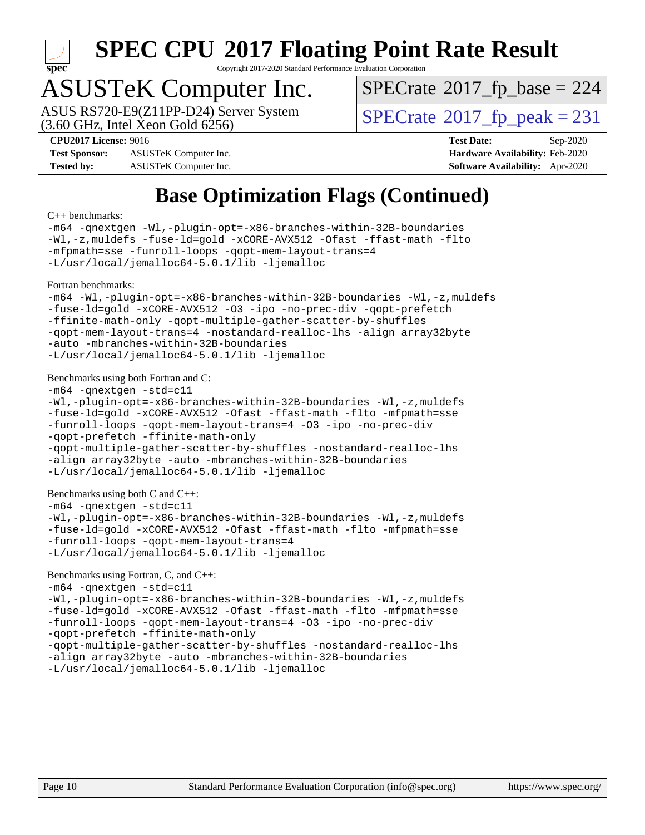

Copyright 2017-2020 Standard Performance Evaluation Corporation

## ASUSTeK Computer Inc.

ASUS RS720-E9(Z11PP-D24) Server System<br>(3.60 GHz, Intel Xeon Gold 6256)

 $SPECTate$ <sup>®</sup>[2017\\_fp\\_base =](http://www.spec.org/auto/cpu2017/Docs/result-fields.html#SPECrate2017fpbase) 224

 $SPECTate@2017_fp\_peak = 231$ 

**[Test Sponsor:](http://www.spec.org/auto/cpu2017/Docs/result-fields.html#TestSponsor)** ASUSTeK Computer Inc. **[Hardware Availability:](http://www.spec.org/auto/cpu2017/Docs/result-fields.html#HardwareAvailability)** Feb-2020 **[Tested by:](http://www.spec.org/auto/cpu2017/Docs/result-fields.html#Testedby)** ASUSTeK Computer Inc. **[Software Availability:](http://www.spec.org/auto/cpu2017/Docs/result-fields.html#SoftwareAvailability)** Apr-2020

**[CPU2017 License:](http://www.spec.org/auto/cpu2017/Docs/result-fields.html#CPU2017License)** 9016 **[Test Date:](http://www.spec.org/auto/cpu2017/Docs/result-fields.html#TestDate)** Sep-2020

## **[Base Optimization Flags \(Continued\)](http://www.spec.org/auto/cpu2017/Docs/result-fields.html#BaseOptimizationFlags)**

[C++ benchmarks:](http://www.spec.org/auto/cpu2017/Docs/result-fields.html#CXXbenchmarks)

```
-m64 -qnextgen -Wl,-plugin-opt=-x86-branches-within-32B-boundaries
-Wl,-z,muldefs -fuse-ld=gold -xCORE-AVX512 -Ofast -ffast-math -flto
-mfpmath=sse -funroll-loops -qopt-mem-layout-trans=4
-L/usr/local/jemalloc64-5.0.1/lib -ljemalloc
Fortran benchmarks: 
-m64 -Wl,-plugin-opt=-x86-branches-within-32B-boundaries -Wl,-z,muldefs
-fuse-ld=gold -xCORE-AVX512 -O3 -ipo -no-prec-div -qopt-prefetch
-ffinite-math-only -qopt-multiple-gather-scatter-by-shuffles
-qopt-mem-layout-trans=4 -nostandard-realloc-lhs -align array32byte
-auto -mbranches-within-32B-boundaries
-L/usr/local/jemalloc64-5.0.1/lib -ljemalloc
Benchmarks using both Fortran and C: 
-m64 -qnextgen -std=c11
-Wl,-plugin-opt=-x86-branches-within-32B-boundaries -Wl,-z,muldefs
-fuse-ld=gold -xCORE-AVX512 -Ofast -ffast-math -flto -mfpmath=sse
-funroll-loops -qopt-mem-layout-trans=4 -O3 -ipo -no-prec-div
-qopt-prefetch -ffinite-math-only
-qopt-multiple-gather-scatter-by-shuffles -nostandard-realloc-lhs
-align array32byte -auto -mbranches-within-32B-boundaries
-L/usr/local/jemalloc64-5.0.1/lib -ljemalloc
Benchmarks using both C and C++: 
-m64 -qnextgen -std=c11
-Wl,-plugin-opt=-x86-branches-within-32B-boundaries -Wl,-z,muldefs
-fuse-ld=gold -xCORE-AVX512 -Ofast -ffast-math -flto -mfpmath=sse
-funroll-loops -qopt-mem-layout-trans=4
-L/usr/local/jemalloc64-5.0.1/lib -ljemalloc
Benchmarks using Fortran, C, and C++: 
-m64 -qnextgen -std=c11
-Wl,-plugin-opt=-x86-branches-within-32B-boundaries -Wl,-z,muldefs
-fuse-ld=gold -xCORE-AVX512 -Ofast -ffast-math -flto -mfpmath=sse
-funroll-loops -qopt-mem-layout-trans=4 -O3 -ipo -no-prec-div
-qopt-prefetch -ffinite-math-only
-qopt-multiple-gather-scatter-by-shuffles -nostandard-realloc-lhs
```
[-align array32byte](http://www.spec.org/cpu2017/results/res2020q4/cpu2017-20201023-24246.flags.html#user_CC_CXX_FCbase_align_array32byte_b982fe038af199962ba9a80c053b8342c548c85b40b8e86eb3cc33dee0d7986a4af373ac2d51c3f7cf710a18d62fdce2948f201cd044323541f22fc0fffc51b6) [-auto](http://www.spec.org/cpu2017/results/res2020q4/cpu2017-20201023-24246.flags.html#user_CC_CXX_FCbase_f-auto) [-mbranches-within-32B-boundaries](http://www.spec.org/cpu2017/results/res2020q4/cpu2017-20201023-24246.flags.html#user_CC_CXX_FCbase_f-mbranches-within-32B-boundaries)

[-L/usr/local/jemalloc64-5.0.1/lib](http://www.spec.org/cpu2017/results/res2020q4/cpu2017-20201023-24246.flags.html#user_CC_CXX_FCbase_jemalloc_link_path64_1_cc289568b1a6c0fd3b62c91b824c27fcb5af5e8098e6ad028160d21144ef1b8aef3170d2acf0bee98a8da324cfe4f67d0a3d0c4cc4673d993d694dc2a0df248b) [-ljemalloc](http://www.spec.org/cpu2017/results/res2020q4/cpu2017-20201023-24246.flags.html#user_CC_CXX_FCbase_jemalloc_link_lib_d1249b907c500fa1c0672f44f562e3d0f79738ae9e3c4a9c376d49f265a04b9c99b167ecedbf6711b3085be911c67ff61f150a17b3472be731631ba4d0471706)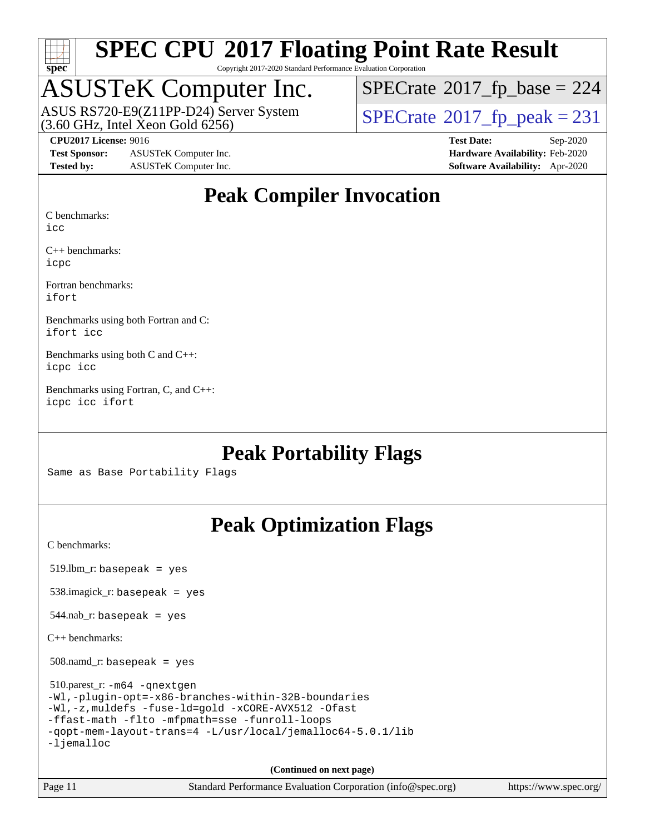

Copyright 2017-2020 Standard Performance Evaluation Corporation

## ASUSTeK Computer Inc.

 $(3.60$  GHz, Intel Xeon Gold  $6256$ ) ASUS RS720-E9(Z11PP-D24) Server System  $\sqrt{\text{SPECrate}^{\otimes}2017\_fp\_peak} = 231$  $\sqrt{\text{SPECrate}^{\otimes}2017\_fp\_peak} = 231$  $\sqrt{\text{SPECrate}^{\otimes}2017\_fp\_peak} = 231$ 

 $SPECTate$ <sup>®</sup>[2017\\_fp\\_base =](http://www.spec.org/auto/cpu2017/Docs/result-fields.html#SPECrate2017fpbase) 224

**[Test Sponsor:](http://www.spec.org/auto/cpu2017/Docs/result-fields.html#TestSponsor)** ASUSTeK Computer Inc. **[Hardware Availability:](http://www.spec.org/auto/cpu2017/Docs/result-fields.html#HardwareAvailability)** Feb-2020 **[Tested by:](http://www.spec.org/auto/cpu2017/Docs/result-fields.html#Testedby)** ASUSTeK Computer Inc. **[Software Availability:](http://www.spec.org/auto/cpu2017/Docs/result-fields.html#SoftwareAvailability)** Apr-2020

**[CPU2017 License:](http://www.spec.org/auto/cpu2017/Docs/result-fields.html#CPU2017License)** 9016 **[Test Date:](http://www.spec.org/auto/cpu2017/Docs/result-fields.html#TestDate)** Sep-2020

### **[Peak Compiler Invocation](http://www.spec.org/auto/cpu2017/Docs/result-fields.html#PeakCompilerInvocation)**

[C benchmarks](http://www.spec.org/auto/cpu2017/Docs/result-fields.html#Cbenchmarks):

[icc](http://www.spec.org/cpu2017/results/res2020q4/cpu2017-20201023-24246.flags.html#user_CCpeak_intel_icc_66fc1ee009f7361af1fbd72ca7dcefbb700085f36577c54f309893dd4ec40d12360134090235512931783d35fd58c0460139e722d5067c5574d8eaf2b3e37e92)

[C++ benchmarks](http://www.spec.org/auto/cpu2017/Docs/result-fields.html#CXXbenchmarks): [icpc](http://www.spec.org/cpu2017/results/res2020q4/cpu2017-20201023-24246.flags.html#user_CXXpeak_intel_icpc_c510b6838c7f56d33e37e94d029a35b4a7bccf4766a728ee175e80a419847e808290a9b78be685c44ab727ea267ec2f070ec5dc83b407c0218cded6866a35d07)

[Fortran benchmarks:](http://www.spec.org/auto/cpu2017/Docs/result-fields.html#Fortranbenchmarks) [ifort](http://www.spec.org/cpu2017/results/res2020q4/cpu2017-20201023-24246.flags.html#user_FCpeak_intel_ifort_8111460550e3ca792625aed983ce982f94888b8b503583aa7ba2b8303487b4d8a21a13e7191a45c5fd58ff318f48f9492884d4413fa793fd88dd292cad7027ca)

[Benchmarks using both Fortran and C](http://www.spec.org/auto/cpu2017/Docs/result-fields.html#BenchmarksusingbothFortranandC): [ifort](http://www.spec.org/cpu2017/results/res2020q4/cpu2017-20201023-24246.flags.html#user_CC_FCpeak_intel_ifort_8111460550e3ca792625aed983ce982f94888b8b503583aa7ba2b8303487b4d8a21a13e7191a45c5fd58ff318f48f9492884d4413fa793fd88dd292cad7027ca) [icc](http://www.spec.org/cpu2017/results/res2020q4/cpu2017-20201023-24246.flags.html#user_CC_FCpeak_intel_icc_66fc1ee009f7361af1fbd72ca7dcefbb700085f36577c54f309893dd4ec40d12360134090235512931783d35fd58c0460139e722d5067c5574d8eaf2b3e37e92)

[Benchmarks using both C and C++:](http://www.spec.org/auto/cpu2017/Docs/result-fields.html#BenchmarksusingbothCandCXX) [icpc](http://www.spec.org/cpu2017/results/res2020q4/cpu2017-20201023-24246.flags.html#user_CC_CXXpeak_intel_icpc_c510b6838c7f56d33e37e94d029a35b4a7bccf4766a728ee175e80a419847e808290a9b78be685c44ab727ea267ec2f070ec5dc83b407c0218cded6866a35d07) [icc](http://www.spec.org/cpu2017/results/res2020q4/cpu2017-20201023-24246.flags.html#user_CC_CXXpeak_intel_icc_66fc1ee009f7361af1fbd72ca7dcefbb700085f36577c54f309893dd4ec40d12360134090235512931783d35fd58c0460139e722d5067c5574d8eaf2b3e37e92)

[Benchmarks using Fortran, C, and C++](http://www.spec.org/auto/cpu2017/Docs/result-fields.html#BenchmarksusingFortranCandCXX): [icpc](http://www.spec.org/cpu2017/results/res2020q4/cpu2017-20201023-24246.flags.html#user_CC_CXX_FCpeak_intel_icpc_c510b6838c7f56d33e37e94d029a35b4a7bccf4766a728ee175e80a419847e808290a9b78be685c44ab727ea267ec2f070ec5dc83b407c0218cded6866a35d07) [icc](http://www.spec.org/cpu2017/results/res2020q4/cpu2017-20201023-24246.flags.html#user_CC_CXX_FCpeak_intel_icc_66fc1ee009f7361af1fbd72ca7dcefbb700085f36577c54f309893dd4ec40d12360134090235512931783d35fd58c0460139e722d5067c5574d8eaf2b3e37e92) [ifort](http://www.spec.org/cpu2017/results/res2020q4/cpu2017-20201023-24246.flags.html#user_CC_CXX_FCpeak_intel_ifort_8111460550e3ca792625aed983ce982f94888b8b503583aa7ba2b8303487b4d8a21a13e7191a45c5fd58ff318f48f9492884d4413fa793fd88dd292cad7027ca)

### **[Peak Portability Flags](http://www.spec.org/auto/cpu2017/Docs/result-fields.html#PeakPortabilityFlags)**

Same as Base Portability Flags

## **[Peak Optimization Flags](http://www.spec.org/auto/cpu2017/Docs/result-fields.html#PeakOptimizationFlags)**

[C benchmarks](http://www.spec.org/auto/cpu2017/Docs/result-fields.html#Cbenchmarks):

519.lbm\_r: basepeak = yes

538.imagick\_r: basepeak = yes

 $544$ .nab\_r: basepeak = yes

[C++ benchmarks:](http://www.spec.org/auto/cpu2017/Docs/result-fields.html#CXXbenchmarks)

508.namd\_r: basepeak = yes

 510.parest\_r: [-m64](http://www.spec.org/cpu2017/results/res2020q4/cpu2017-20201023-24246.flags.html#user_peakCXXLD510_parest_r_m64-icc) [-qnextgen](http://www.spec.org/cpu2017/results/res2020q4/cpu2017-20201023-24246.flags.html#user_peakCXXLD510_parest_r_f-qnextgen) [-Wl,-plugin-opt=-x86-branches-within-32B-boundaries](http://www.spec.org/cpu2017/results/res2020q4/cpu2017-20201023-24246.flags.html#user_peakLDFLAGS510_parest_r_f-x86-branches-within-32B-boundaries_0098b4e4317ae60947b7b728078a624952a08ac37a3c797dfb4ffeb399e0c61a9dd0f2f44ce917e9361fb9076ccb15e7824594512dd315205382d84209e912f3) [-Wl,-z,muldefs](http://www.spec.org/cpu2017/results/res2020q4/cpu2017-20201023-24246.flags.html#user_peakEXTRA_LDFLAGS510_parest_r_link_force_multiple1_b4cbdb97b34bdee9ceefcfe54f4c8ea74255f0b02a4b23e853cdb0e18eb4525ac79b5a88067c842dd0ee6996c24547a27a4b99331201badda8798ef8a743f577) [-fuse-ld=gold](http://www.spec.org/cpu2017/results/res2020q4/cpu2017-20201023-24246.flags.html#user_peakEXTRA_LDFLAGS510_parest_r_f-fuse-ld_920b3586e2b8c6e0748b9c84fa9b744736ba725a32cab14ad8f3d4ad28eecb2f59d1144823d2e17006539a88734fe1fc08fc3035f7676166309105a78aaabc32) [-xCORE-AVX512](http://www.spec.org/cpu2017/results/res2020q4/cpu2017-20201023-24246.flags.html#user_peakCXXOPTIMIZE510_parest_r_f-xCORE-AVX512) [-Ofast](http://www.spec.org/cpu2017/results/res2020q4/cpu2017-20201023-24246.flags.html#user_peakCXXOPTIMIZE510_parest_r_f-Ofast) [-ffast-math](http://www.spec.org/cpu2017/results/res2020q4/cpu2017-20201023-24246.flags.html#user_peakCXXOPTIMIZE510_parest_r_f-ffast-math) [-flto](http://www.spec.org/cpu2017/results/res2020q4/cpu2017-20201023-24246.flags.html#user_peakCXXOPTIMIZE510_parest_r_f-flto) [-mfpmath=sse](http://www.spec.org/cpu2017/results/res2020q4/cpu2017-20201023-24246.flags.html#user_peakCXXOPTIMIZE510_parest_r_f-mfpmath_70eb8fac26bde974f8ab713bc9086c5621c0b8d2f6c86f38af0bd7062540daf19db5f3a066d8c6684be05d84c9b6322eb3b5be6619d967835195b93d6c02afa1) [-funroll-loops](http://www.spec.org/cpu2017/results/res2020q4/cpu2017-20201023-24246.flags.html#user_peakCXXOPTIMIZE510_parest_r_f-funroll-loops) [-qopt-mem-layout-trans=4](http://www.spec.org/cpu2017/results/res2020q4/cpu2017-20201023-24246.flags.html#user_peakCXXOPTIMIZE510_parest_r_f-qopt-mem-layout-trans_fa39e755916c150a61361b7846f310bcdf6f04e385ef281cadf3647acec3f0ae266d1a1d22d972a7087a248fd4e6ca390a3634700869573d231a252c784941a8) [-L/usr/local/jemalloc64-5.0.1/lib](http://www.spec.org/cpu2017/results/res2020q4/cpu2017-20201023-24246.flags.html#user_peakEXTRA_LIBS510_parest_r_jemalloc_link_path64_1_cc289568b1a6c0fd3b62c91b824c27fcb5af5e8098e6ad028160d21144ef1b8aef3170d2acf0bee98a8da324cfe4f67d0a3d0c4cc4673d993d694dc2a0df248b) [-ljemalloc](http://www.spec.org/cpu2017/results/res2020q4/cpu2017-20201023-24246.flags.html#user_peakEXTRA_LIBS510_parest_r_jemalloc_link_lib_d1249b907c500fa1c0672f44f562e3d0f79738ae9e3c4a9c376d49f265a04b9c99b167ecedbf6711b3085be911c67ff61f150a17b3472be731631ba4d0471706)

**(Continued on next page)**

| Page 11 |  |
|---------|--|
|         |  |

Standard Performance Evaluation Corporation [\(info@spec.org\)](mailto:info@spec.org) <https://www.spec.org/>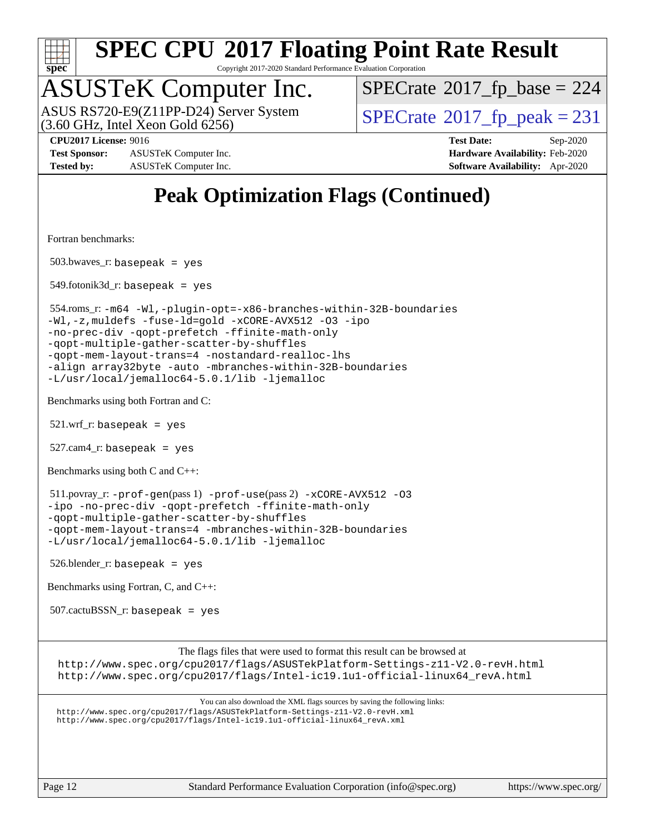

Copyright 2017-2020 Standard Performance Evaluation Corporation

## ASUSTeK Computer Inc.

 $(3.60$  GHz, Intel Xeon Gold  $6256$ ) ASUS RS720-E9(Z11PP-D24) Server System  $\sqrt{\text{SPECrate}^{\otimes}2017\_fp\_peak} = 231$  $\sqrt{\text{SPECrate}^{\otimes}2017\_fp\_peak} = 231$  $\sqrt{\text{SPECrate}^{\otimes}2017\_fp\_peak} = 231$ 

 $SPECTate$ <sup>®</sup>[2017\\_fp\\_base =](http://www.spec.org/auto/cpu2017/Docs/result-fields.html#SPECrate2017fpbase) 224

**[Test Sponsor:](http://www.spec.org/auto/cpu2017/Docs/result-fields.html#TestSponsor)** ASUSTeK Computer Inc. **[Hardware Availability:](http://www.spec.org/auto/cpu2017/Docs/result-fields.html#HardwareAvailability)** Feb-2020 **[Tested by:](http://www.spec.org/auto/cpu2017/Docs/result-fields.html#Testedby)** ASUSTeK Computer Inc. **[Software Availability:](http://www.spec.org/auto/cpu2017/Docs/result-fields.html#SoftwareAvailability)** Apr-2020

**[CPU2017 License:](http://www.spec.org/auto/cpu2017/Docs/result-fields.html#CPU2017License)** 9016 **[Test Date:](http://www.spec.org/auto/cpu2017/Docs/result-fields.html#TestDate)** Sep-2020

## **[Peak Optimization Flags \(Continued\)](http://www.spec.org/auto/cpu2017/Docs/result-fields.html#PeakOptimizationFlags)**

[Fortran benchmarks](http://www.spec.org/auto/cpu2017/Docs/result-fields.html#Fortranbenchmarks):

503.bwaves\_r: basepeak = yes

 $549.$ fotonik $3d$ <sub>-</sub> $r:$  basepeak = yes

 554.roms\_r: [-m64](http://www.spec.org/cpu2017/results/res2020q4/cpu2017-20201023-24246.flags.html#user_peakFCLD554_roms_r_m64-icc) [-Wl,-plugin-opt=-x86-branches-within-32B-boundaries](http://www.spec.org/cpu2017/results/res2020q4/cpu2017-20201023-24246.flags.html#user_peakLDFLAGS554_roms_r_f-x86-branches-within-32B-boundaries_0098b4e4317ae60947b7b728078a624952a08ac37a3c797dfb4ffeb399e0c61a9dd0f2f44ce917e9361fb9076ccb15e7824594512dd315205382d84209e912f3) [-Wl,-z,muldefs](http://www.spec.org/cpu2017/results/res2020q4/cpu2017-20201023-24246.flags.html#user_peakEXTRA_LDFLAGS554_roms_r_link_force_multiple1_b4cbdb97b34bdee9ceefcfe54f4c8ea74255f0b02a4b23e853cdb0e18eb4525ac79b5a88067c842dd0ee6996c24547a27a4b99331201badda8798ef8a743f577) [-fuse-ld=gold](http://www.spec.org/cpu2017/results/res2020q4/cpu2017-20201023-24246.flags.html#user_peakEXTRA_LDFLAGS554_roms_r_f-fuse-ld_920b3586e2b8c6e0748b9c84fa9b744736ba725a32cab14ad8f3d4ad28eecb2f59d1144823d2e17006539a88734fe1fc08fc3035f7676166309105a78aaabc32) [-xCORE-AVX512](http://www.spec.org/cpu2017/results/res2020q4/cpu2017-20201023-24246.flags.html#user_peakFOPTIMIZE554_roms_r_f-xCORE-AVX512) [-O3](http://www.spec.org/cpu2017/results/res2020q4/cpu2017-20201023-24246.flags.html#user_peakFOPTIMIZE554_roms_r_f-O3) [-ipo](http://www.spec.org/cpu2017/results/res2020q4/cpu2017-20201023-24246.flags.html#user_peakFOPTIMIZE554_roms_r_f-ipo) [-no-prec-div](http://www.spec.org/cpu2017/results/res2020q4/cpu2017-20201023-24246.flags.html#user_peakFOPTIMIZE554_roms_r_f-no-prec-div) [-qopt-prefetch](http://www.spec.org/cpu2017/results/res2020q4/cpu2017-20201023-24246.flags.html#user_peakFOPTIMIZE554_roms_r_f-qopt-prefetch) [-ffinite-math-only](http://www.spec.org/cpu2017/results/res2020q4/cpu2017-20201023-24246.flags.html#user_peakFOPTIMIZE554_roms_r_f_finite_math_only_cb91587bd2077682c4b38af759c288ed7c732db004271a9512da14a4f8007909a5f1427ecbf1a0fb78ff2a814402c6114ac565ca162485bbcae155b5e4258871) [-qopt-multiple-gather-scatter-by-shuffles](http://www.spec.org/cpu2017/results/res2020q4/cpu2017-20201023-24246.flags.html#user_peakFOPTIMIZE554_roms_r_f-qopt-multiple-gather-scatter-by-shuffles) [-qopt-mem-layout-trans=4](http://www.spec.org/cpu2017/results/res2020q4/cpu2017-20201023-24246.flags.html#user_peakFOPTIMIZE554_roms_r_f-qopt-mem-layout-trans_fa39e755916c150a61361b7846f310bcdf6f04e385ef281cadf3647acec3f0ae266d1a1d22d972a7087a248fd4e6ca390a3634700869573d231a252c784941a8) [-nostandard-realloc-lhs](http://www.spec.org/cpu2017/results/res2020q4/cpu2017-20201023-24246.flags.html#user_peakEXTRA_FOPTIMIZE554_roms_r_f_2003_std_realloc_82b4557e90729c0f113870c07e44d33d6f5a304b4f63d4c15d2d0f1fab99f5daaed73bdb9275d9ae411527f28b936061aa8b9c8f2d63842963b95c9dd6426b8a) [-align array32byte](http://www.spec.org/cpu2017/results/res2020q4/cpu2017-20201023-24246.flags.html#user_peakEXTRA_FOPTIMIZE554_roms_r_align_array32byte_b982fe038af199962ba9a80c053b8342c548c85b40b8e86eb3cc33dee0d7986a4af373ac2d51c3f7cf710a18d62fdce2948f201cd044323541f22fc0fffc51b6) [-auto](http://www.spec.org/cpu2017/results/res2020q4/cpu2017-20201023-24246.flags.html#user_peakEXTRA_FOPTIMIZE554_roms_r_f-auto) [-mbranches-within-32B-boundaries](http://www.spec.org/cpu2017/results/res2020q4/cpu2017-20201023-24246.flags.html#user_peakEXTRA_FOPTIMIZE554_roms_r_f-mbranches-within-32B-boundaries) [-L/usr/local/jemalloc64-5.0.1/lib](http://www.spec.org/cpu2017/results/res2020q4/cpu2017-20201023-24246.flags.html#user_peakEXTRA_LIBS554_roms_r_jemalloc_link_path64_1_cc289568b1a6c0fd3b62c91b824c27fcb5af5e8098e6ad028160d21144ef1b8aef3170d2acf0bee98a8da324cfe4f67d0a3d0c4cc4673d993d694dc2a0df248b) [-ljemalloc](http://www.spec.org/cpu2017/results/res2020q4/cpu2017-20201023-24246.flags.html#user_peakEXTRA_LIBS554_roms_r_jemalloc_link_lib_d1249b907c500fa1c0672f44f562e3d0f79738ae9e3c4a9c376d49f265a04b9c99b167ecedbf6711b3085be911c67ff61f150a17b3472be731631ba4d0471706)

[Benchmarks using both Fortran and C](http://www.spec.org/auto/cpu2017/Docs/result-fields.html#BenchmarksusingbothFortranandC):

 $521.wrf$ . basepeak = yes

 $527.cam4_r$ : basepeak = yes

[Benchmarks using both C and C++](http://www.spec.org/auto/cpu2017/Docs/result-fields.html#BenchmarksusingbothCandCXX):

 511.povray\_r: [-prof-gen](http://www.spec.org/cpu2017/results/res2020q4/cpu2017-20201023-24246.flags.html#user_peakPASS1_CFLAGSPASS1_CXXFLAGSPASS1_LDFLAGS511_povray_r_prof_gen_5aa4926d6013ddb2a31985c654b3eb18169fc0c6952a63635c234f711e6e63dd76e94ad52365559451ec499a2cdb89e4dc58ba4c67ef54ca681ffbe1461d6b36)(pass 1) [-prof-use](http://www.spec.org/cpu2017/results/res2020q4/cpu2017-20201023-24246.flags.html#user_peakPASS2_CFLAGSPASS2_CXXFLAGSPASS2_LDFLAGS511_povray_r_prof_use_1a21ceae95f36a2b53c25747139a6c16ca95bd9def2a207b4f0849963b97e94f5260e30a0c64f4bb623698870e679ca08317ef8150905d41bd88c6f78df73f19)(pass 2) [-xCORE-AVX512](http://www.spec.org/cpu2017/results/res2020q4/cpu2017-20201023-24246.flags.html#user_peakCOPTIMIZECXXOPTIMIZEPASS2_COPTIMIZEPASS2_CXXOPTIMIZE511_povray_r_f-xCORE-AVX512) [-O3](http://www.spec.org/cpu2017/results/res2020q4/cpu2017-20201023-24246.flags.html#user_peakCOPTIMIZECXXOPTIMIZEPASS1_COPTIMIZEPASS1_CXXOPTIMIZEPASS2_COPTIMIZEPASS2_CXXOPTIMIZE511_povray_r_f-O3) [-ipo](http://www.spec.org/cpu2017/results/res2020q4/cpu2017-20201023-24246.flags.html#user_peakCOPTIMIZECXXOPTIMIZEPASS1_COPTIMIZEPASS1_CXXOPTIMIZEPASS2_COPTIMIZEPASS2_CXXOPTIMIZE511_povray_r_f-ipo) [-no-prec-div](http://www.spec.org/cpu2017/results/res2020q4/cpu2017-20201023-24246.flags.html#user_peakCOPTIMIZECXXOPTIMIZEPASS1_COPTIMIZEPASS1_CXXOPTIMIZEPASS2_COPTIMIZEPASS2_CXXOPTIMIZE511_povray_r_f-no-prec-div) [-qopt-prefetch](http://www.spec.org/cpu2017/results/res2020q4/cpu2017-20201023-24246.flags.html#user_peakCOPTIMIZECXXOPTIMIZEPASS1_COPTIMIZEPASS1_CXXOPTIMIZEPASS2_COPTIMIZEPASS2_CXXOPTIMIZE511_povray_r_f-qopt-prefetch) [-ffinite-math-only](http://www.spec.org/cpu2017/results/res2020q4/cpu2017-20201023-24246.flags.html#user_peakCOPTIMIZECXXOPTIMIZEPASS1_COPTIMIZEPASS1_CXXOPTIMIZEPASS2_COPTIMIZEPASS2_CXXOPTIMIZE511_povray_r_f_finite_math_only_cb91587bd2077682c4b38af759c288ed7c732db004271a9512da14a4f8007909a5f1427ecbf1a0fb78ff2a814402c6114ac565ca162485bbcae155b5e4258871) [-qopt-multiple-gather-scatter-by-shuffles](http://www.spec.org/cpu2017/results/res2020q4/cpu2017-20201023-24246.flags.html#user_peakCOPTIMIZECXXOPTIMIZEPASS1_COPTIMIZEPASS1_CXXOPTIMIZEPASS2_COPTIMIZEPASS2_CXXOPTIMIZE511_povray_r_f-qopt-multiple-gather-scatter-by-shuffles) [-qopt-mem-layout-trans=4](http://www.spec.org/cpu2017/results/res2020q4/cpu2017-20201023-24246.flags.html#user_peakCOPTIMIZECXXOPTIMIZEPASS1_COPTIMIZEPASS1_CXXOPTIMIZEPASS2_COPTIMIZEPASS2_CXXOPTIMIZE511_povray_r_f-qopt-mem-layout-trans_fa39e755916c150a61361b7846f310bcdf6f04e385ef281cadf3647acec3f0ae266d1a1d22d972a7087a248fd4e6ca390a3634700869573d231a252c784941a8) [-mbranches-within-32B-boundaries](http://www.spec.org/cpu2017/results/res2020q4/cpu2017-20201023-24246.flags.html#user_peakEXTRA_COPTIMIZEEXTRA_CXXOPTIMIZE511_povray_r_f-mbranches-within-32B-boundaries) [-L/usr/local/jemalloc64-5.0.1/lib](http://www.spec.org/cpu2017/results/res2020q4/cpu2017-20201023-24246.flags.html#user_peakEXTRA_LIBS511_povray_r_jemalloc_link_path64_1_cc289568b1a6c0fd3b62c91b824c27fcb5af5e8098e6ad028160d21144ef1b8aef3170d2acf0bee98a8da324cfe4f67d0a3d0c4cc4673d993d694dc2a0df248b) [-ljemalloc](http://www.spec.org/cpu2017/results/res2020q4/cpu2017-20201023-24246.flags.html#user_peakEXTRA_LIBS511_povray_r_jemalloc_link_lib_d1249b907c500fa1c0672f44f562e3d0f79738ae9e3c4a9c376d49f265a04b9c99b167ecedbf6711b3085be911c67ff61f150a17b3472be731631ba4d0471706)

526.blender\_r: basepeak = yes

[Benchmarks using Fortran, C, and C++:](http://www.spec.org/auto/cpu2017/Docs/result-fields.html#BenchmarksusingFortranCandCXX)

507.cactuBSSN\_r: basepeak = yes

[The flags files that were used to format this result can be browsed at](tmsearch)

<http://www.spec.org/cpu2017/flags/ASUSTekPlatform-Settings-z11-V2.0-revH.html> [http://www.spec.org/cpu2017/flags/Intel-ic19.1u1-official-linux64\\_revA.html](http://www.spec.org/cpu2017/flags/Intel-ic19.1u1-official-linux64_revA.html)

[You can also download the XML flags sources by saving the following links:](tmsearch) <http://www.spec.org/cpu2017/flags/ASUSTekPlatform-Settings-z11-V2.0-revH.xml> [http://www.spec.org/cpu2017/flags/Intel-ic19.1u1-official-linux64\\_revA.xml](http://www.spec.org/cpu2017/flags/Intel-ic19.1u1-official-linux64_revA.xml)